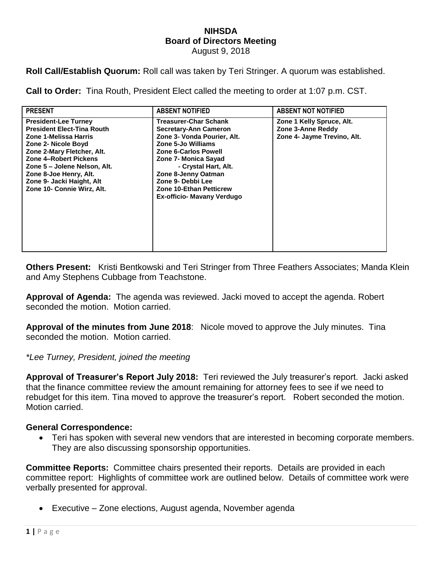## **NIHSDA Board of Directors Meeting** August 9, 2018

**Roll Call/Establish Quorum:** Roll call was taken by Teri Stringer. A quorum was established.

**Call to Order:** Tina Routh, President Elect called the meeting to order at 1:07 p.m. CST.

| <b>PRESENT</b>                                                                                                                                                                                                                                                                               | <b>ABSENT NOTIFIED</b>                                                                                                                                                                                                                                                                                       | <b>ABSENT NOT NOTIFIED</b>                                                    |
|----------------------------------------------------------------------------------------------------------------------------------------------------------------------------------------------------------------------------------------------------------------------------------------------|--------------------------------------------------------------------------------------------------------------------------------------------------------------------------------------------------------------------------------------------------------------------------------------------------------------|-------------------------------------------------------------------------------|
| <b>President-Lee Turney</b><br><b>President Elect-Tina Routh</b><br>Zone 1-Melissa Harris<br>Zone 2- Nicole Boyd<br>Zone 2-Mary Fletcher, Alt.<br>Zone 4-Robert Pickens<br>Zone 5 – Jolene Nelson, Alt.<br>Zone 8-Joe Henry, Alt.<br>Zone 9- Jacki Haight, Alt<br>Zone 10- Connie Wirz, Alt. | <b>Treasurer-Char Schank</b><br><b>Secretary-Ann Cameron</b><br>Zone 3- Vonda Pourier, Alt.<br>Zone 5-Jo Williams<br><b>Zone 6-Carlos Powell</b><br>Zone 7- Monica Sayad<br>- Crystal Hart, Alt.<br>Zone 8-Jenny Oatman<br>Zone 9- Debbi Lee<br><b>Zone 10-Ethan Petticrew</b><br>Ex-officio- Mavany Verdugo | Zone 1 Kelly Spruce, Alt.<br>Zone 3-Anne Reddy<br>Zone 4- Jayme Trevino, Alt. |

**Others Present:** Kristi Bentkowski and Teri Stringer from Three Feathers Associates; Manda Klein and Amy Stephens Cubbage from Teachstone.

**Approval of Agenda:** The agenda was reviewed. Jacki moved to accept the agenda. Robert seconded the motion. Motion carried.

**Approval of the minutes from June 2018**: Nicole moved to approve the July minutes. Tina seconded the motion. Motion carried.

*\*Lee Turney, President, joined the meeting*

**Approval of Treasurer's Report July 2018:** Teri reviewed the July treasurer's report. Jacki asked that the finance committee review the amount remaining for attorney fees to see if we need to rebudget for this item. Tina moved to approve the treasurer's report. Robert seconded the motion. Motion carried.

## **General Correspondence:**

 Teri has spoken with several new vendors that are interested in becoming corporate members. They are also discussing sponsorship opportunities.

**Committee Reports:** Committee chairs presented their reports. Details are provided in each committee report: Highlights of committee work are outlined below. Details of committee work were verbally presented for approval.

Executive – Zone elections, August agenda, November agenda